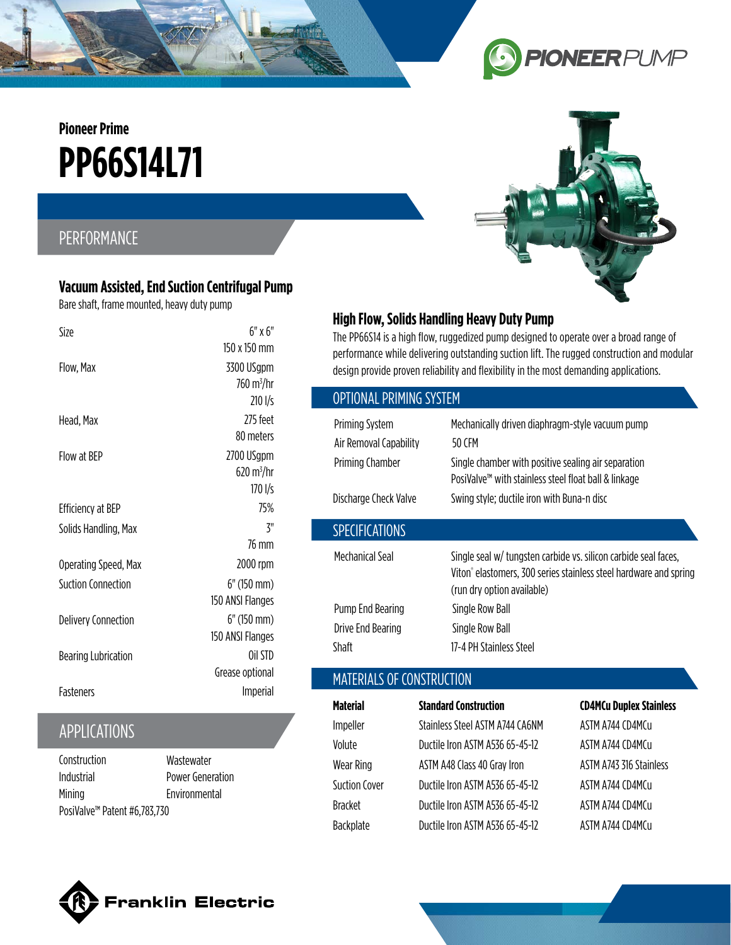**PP66S14L71 Pioneer Prime**

## PERFORMANCE

#### **Vacuum Assisted, End Suction Centrifugal Pump**

Bare shaft, frame mounted, heavy duty pump

| Size                       | 6″ x 6″                     |
|----------------------------|-----------------------------|
|                            | 150 x 150 mm                |
| Flow, Max                  | 3300 USgpm                  |
|                            | $760 \text{ m}^3/\text{hr}$ |
|                            | $210 \frac{1}{5}$           |
| Head, Max                  | 775 feet                    |
|                            | 80 meters                   |
| Flow at BFP                | 2700 USgpm                  |
|                            | 620 m <sup>3</sup> /hr      |
|                            | 170 I/s                     |
| <b>Efficiency at BEP</b>   | 75%                         |
| Solids Handling, Max       | Z''                         |
|                            | 76 mm                       |
| Operating Speed, Max       | 2000 rpm                    |
| Suction Connection         | $6"$ (150 mm)               |
|                            | 150 ANSI Flanges            |
| <b>Delivery Connection</b> | $6"$ (150 mm)               |
|                            | 150 ANSI Flanges            |
| <b>Bearing Lubrication</b> | Oil STD                     |
|                            | Grease optional             |
| <b>Fasteners</b>           | Imperial                    |
|                            |                             |

## APPLICATIONS

PosiValve™ Patent #6,783,730 Construction Industrial Mining **Wastewater** 

Power Generation Environmental



The PP66S14 is a high flow, ruggedized pump designed to operate over a broad range of performance while delivering outstanding suction lift. The rugged construction and modular design provide proven reliability and flexibility in the most demanding applications.

# Mechanical Seal Single seal w/ tungsten carbide vs. silicon carbide seal faces, Viton® elastomers, 300 series stainless steel hardware and spring (run dry option available) Pump End Bearing Single Row Ball Drive End Bearing Single Row Ball Shaft 17-4 PH Stainless Steel Priming System Mechanically driven diaphragm-style vacuum pump Air Removal Capability 50 CFM Priming Chamber Single chamber with positive sealing air separation PosiValve™ with stainless steel float ball & linkage Discharge Check Valve Swing style; ductile iron with Buna-n disc SPECIFICATIONS OPTIONAL PRIMING SYSTEM MATERIALS OF CONSTRUCTION

| <b>Material</b>      | <b>Standard Construction</b>    | <b>CD4MCu Duplex Stainless</b> |
|----------------------|---------------------------------|--------------------------------|
| Impeller             | Stainless Steel ASTM A744 CA6NM | ASTM A744 CD4MCu               |
| Volute               | Ductile Iron ASTM A536 65-45-12 | ASTM A744 CD4MCu               |
| Wear Ring            | ASTM A48 Class 40 Gray Iron     | ASTM A743 316 Stainless        |
| <b>Suction Cover</b> | Ductile Iron ASTM A536 65-45-12 | ASTM A744 (D4M(u               |
| <b>Bracket</b>       | Ductile Iron ASTM A536 65-45-12 | ASTM A744 CD4MCu               |
| Backplate            | Ductile Iron ASTM A536 65-45-12 | ASTM A744 CD4MCu               |